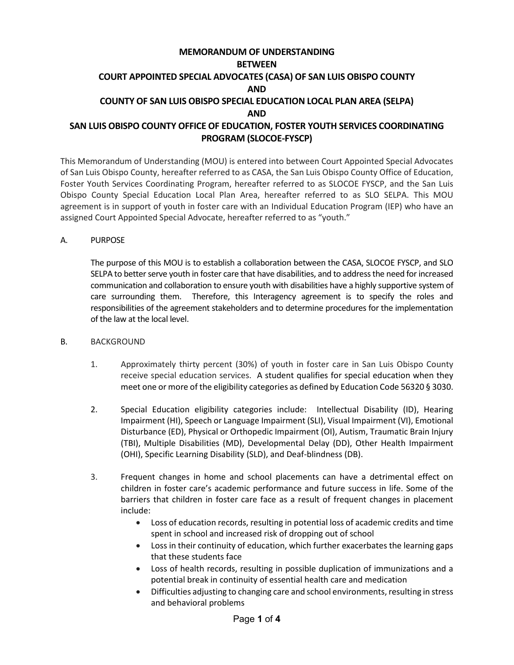# **MEMORANDUM OF UNDERSTANDING BETWEEN COURT APPOINTED SPECIAL ADVOCATES (CASA) OF SAN LUIS OBISPO COUNTY AND COUNTY OF SAN LUIS OBISPO SPECIAL EDUCATION LOCAL PLAN AREA (SELPA) AND SAN LUIS OBISPO COUNTY OFFICE OF EDUCATION, FOSTER YOUTH SERVICES COORDINATING PROGRAM (SLOCOE-FYSCP)**

This Memorandum of Understanding (MOU) is entered into between Court Appointed Special Advocates of San Luis Obispo County, hereafter referred to as CASA, the San Luis Obispo County Office of Education, Foster Youth Services Coordinating Program, hereafter referred to as SLOCOE FYSCP, and the San Luis Obispo County Special Education Local Plan Area, hereafter referred to as SLO SELPA. This MOU agreement is in support of youth in foster care with an Individual Education Program (IEP) who have an assigned Court Appointed Special Advocate, hereafter referred to as "youth."

# A. PURPOSE

The purpose of this MOU is to establish a collaboration between the CASA, SLOCOE FYSCP, and SLO SELPA to better serve youth in foster care that have disabilities, and to address the need for increased communication and collaboration to ensure youth with disabilities have a highly supportive system of care surrounding them. Therefore, this Interagency agreement is to specify the roles and responsibilities of the agreement stakeholders and to determine procedures for the implementation of the law at the local level.

# B. BACKGROUND

- 1. Approximately thirty percent (30%) of youth in foster care in San Luis Obispo County receive special education services. A student qualifies for special education when they meet one or more of the eligibility categories as defined by Education Code 56320 § 3030.
- 2. Special Education eligibility categories include: Intellectual Disability (ID), Hearing Impairment (HI), Speech or Language Impairment (SLI), Visual Impairment (VI), Emotional Disturbance (ED), Physical or Orthopedic Impairment (OI), Autism, Traumatic Brain Injury (TBI), Multiple Disabilities (MD), Developmental Delay (DD), Other Health Impairment (OHI), Specific Learning Disability (SLD), and Deaf-blindness (DB).
- 3. Frequent changes in home and school placements can have a detrimental effect on children in foster care's academic performance and future success in life. Some of the barriers that children in foster care face as a result of frequent changes in placement include:
	- Loss of education records, resulting in potential loss of academic credits and time spent in school and increased risk of dropping out of school
	- Loss in their continuity of education, which further exacerbates the learning gaps that these students face
	- Loss of health records, resulting in possible duplication of immunizations and a potential break in continuity of essential health care and medication
	- Difficulties adjusting to changing care and school environments, resulting in stress and behavioral problems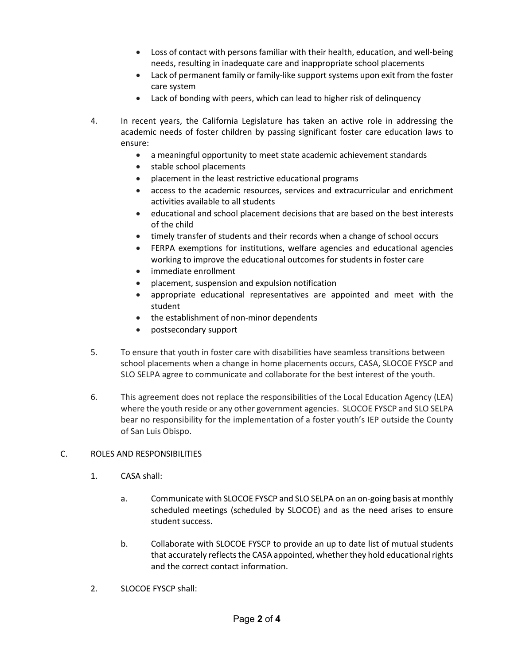- Loss of contact with persons familiar with their health, education, and well-being needs, resulting in inadequate care and inappropriate school placements
- Lack of permanent family or family-like support systems upon exit from the foster care system
- Lack of bonding with peers, which can lead to higher risk of delinquency
- 4. In recent years, the California Legislature has taken an active role in addressing the academic needs of foster children by passing significant foster care education laws to ensure:
	- a meaningful opportunity to meet state academic achievement standards
	- stable school placements
	- placement in the least restrictive educational programs
	- access to the academic resources, services and extracurricular and enrichment activities available to all students
	- educational and school placement decisions that are based on the best interests of the child
	- timely transfer of students and their records when a change of school occurs
	- FERPA exemptions for institutions, welfare agencies and educational agencies working to improve the educational outcomes for students in foster care
	- immediate enrollment
	- placement, suspension and expulsion notification
	- appropriate educational representatives are appointed and meet with the student
	- the establishment of non-minor dependents
	- postsecondary support
- 5. To ensure that youth in foster care with disabilities have seamless transitions between school placements when a change in home placements occurs, CASA, SLOCOE FYSCP and SLO SELPA agree to communicate and collaborate for the best interest of the youth.
- 6. This agreement does not replace the responsibilities of the Local Education Agency (LEA) where the youth reside or any other government agencies. SLOCOE FYSCP and SLO SELPA bear no responsibility for the implementation of a foster youth's IEP outside the County of San Luis Obispo.

# C. ROLES AND RESPONSIBILITIES

- 1. CASA shall:
	- a. Communicate with SLOCOE FYSCP and SLO SELPA on an on-going basis at monthly scheduled meetings (scheduled by SLOCOE) and as the need arises to ensure student success.
	- b. Collaborate with SLOCOE FYSCP to provide an up to date list of mutual students that accurately reflects the CASA appointed, whether they hold educational rights and the correct contact information.
- 2. SLOCOE FYSCP shall: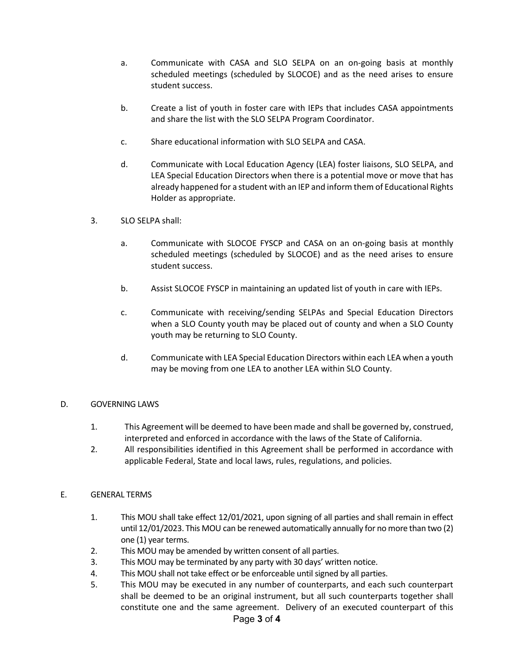- a. Communicate with CASA and SLO SELPA on an on-going basis at monthly scheduled meetings (scheduled by SLOCOE) and as the need arises to ensure student success.
- b. Create a list of youth in foster care with IEPs that includes CASA appointments and share the list with the SLO SELPA Program Coordinator.
- c. Share educational information with SLO SELPA and CASA.
- d. Communicate with Local Education Agency (LEA) foster liaisons, SLO SELPA, and LEA Special Education Directors when there is a potential move or move that has already happened for a student with an IEP and inform them of Educational Rights Holder as appropriate.
- 3. SLO SELPA shall:
	- a. Communicate with SLOCOE FYSCP and CASA on an on-going basis at monthly scheduled meetings (scheduled by SLOCOE) and as the need arises to ensure student success.
	- b. Assist SLOCOE FYSCP in maintaining an updated list of youth in care with IEPs.
	- c. Communicate with receiving/sending SELPAs and Special Education Directors when a SLO County youth may be placed out of county and when a SLO County youth may be returning to SLO County.
	- d. Communicate with LEA Special Education Directors within each LEA when a youth may be moving from one LEA to another LEA within SLO County.

# D. GOVERNING LAWS

- 1. This Agreement will be deemed to have been made and shall be governed by, construed, interpreted and enforced in accordance with the laws of the State of California.
- 2. All responsibilities identified in this Agreement shall be performed in accordance with applicable Federal, State and local laws, rules, regulations, and policies.

# E. GENERAL TERMS

- 1. This MOU shall take effect 12/01/2021, upon signing of all parties and shall remain in effect until 12/01/2023. This MOU can be renewed automatically annually for no more than two (2) one (1) year terms.
- 2. This MOU may be amended by written consent of all parties.
- 3. This MOU may be terminated by any party with 30 days' written notice.
- 4. This MOU shall not take effect or be enforceable until signed by all parties.
- 5. This MOU may be executed in any number of counterparts, and each such counterpart shall be deemed to be an original instrument, but all such counterparts together shall constitute one and the same agreement. Delivery of an executed counterpart of this